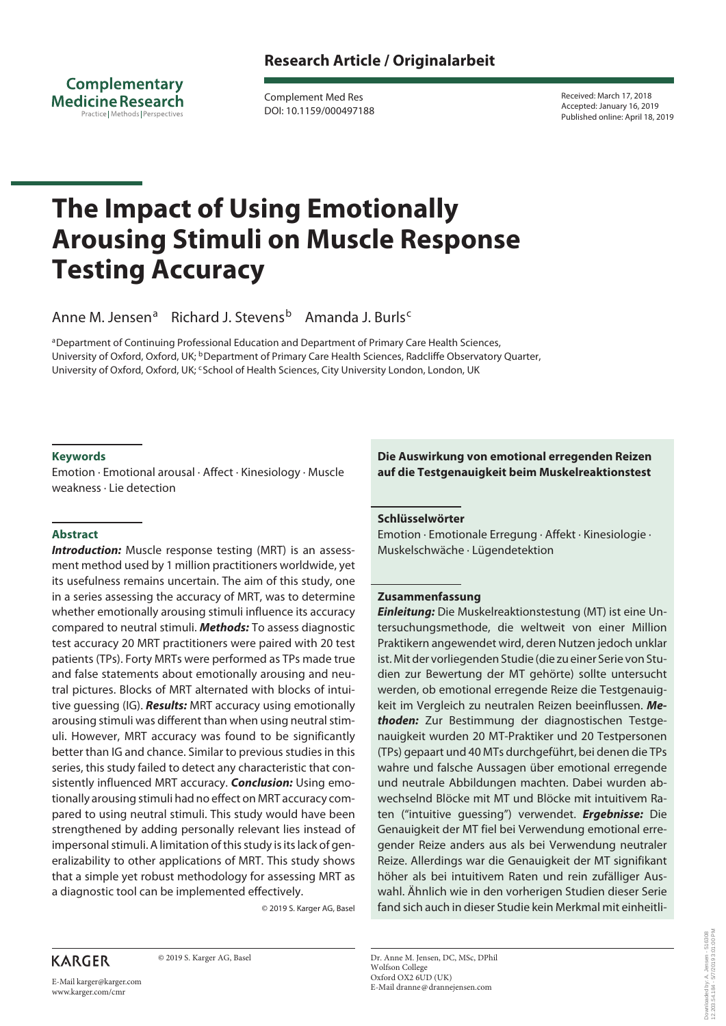**Complementary Medicine Research** Practice Methods Perspectives

Complement Med Res DOI: 10.1159/000497188 Received: March 17, 2018 Accepted: January 16, 2019 Published online: April 18, 2019

# **The Impact of Using Emotionally Arousing Stimuli on Muscle Response Testing Accuracy**

Anne M. Jensen<sup>a</sup> Richard J. Stevens<sup>b</sup> Amanda J. Burls<sup>c</sup>

aDepartment of Continuing Professional Education and Department of Primary Care Health Sciences, University of Oxford, Oxford, UK; <sup>b</sup>Department of Primary Care Health Sciences, Radcliffe Observatory Quarter, University of Oxford, Oxford, UK; <sup>c</sup>School of Health Sciences, City University London, London, UK

## **Keywords**

Emotion · Emotional arousal · Affect · Kinesiology · Muscle weakness · Lie detection

## **Abstract**

**Introduction:** Muscle response testing (MRT) is an assessment method used by 1 million practitioners worldwide, yet its usefulness remains uncertain. The aim of this study, one in a series assessing the accuracy of MRT, was to determine whether emotionally arousing stimuli influence its accuracy compared to neutral stimuli. *Methods:* To assess diagnostic test accuracy 20 MRT practitioners were paired with 20 test patients (TPs). Forty MRTs were performed as TPs made true and false statements about emotionally arousing and neutral pictures. Blocks of MRT alternated with blocks of intuitive guessing (IG). *Results:* MRT accuracy using emotionally arousing stimuli was different than when using neutral stimuli. However, MRT accuracy was found to be significantly better than IG and chance. Similar to previous studies in this series, this study failed to detect any characteristic that consistently influenced MRT accuracy. *Conclusion:* Using emotionally arousing stimuli had no effect on MRT accuracy compared to using neutral stimuli. This study would have been strengthened by adding personally relevant lies instead of impersonal stimuli. A limitation of this study is its lack of generalizability to other applications of MRT. This study shows that a simple yet robust methodology for assessing MRT as a diagnostic tool can be implemented effectively.

© 2019 S. Karger AG, Basel

**KARGER** 

© 2019 S. Karger AG, Basel

# **Die Auswirkung von emotional erregenden Reizen auf die Testgenauigkeit beim Muskelreaktionstest**

## **Schlüsselwörter**

Emotion · Emotionale Erregung · Affekt · Kinesiologie · Muskelschwäche · Lügendetektion

## **Zusammenfassung**

*Einleitung:* Die Muskelreaktionstestung (MT) ist eine Untersuchungsmethode, die weltweit von einer Million Praktikern angewendet wird, deren Nutzen jedoch unklar ist. Mit der vorliegenden Studie (die zu einer Serie von Studien zur Bewertung der MT gehörte) sollte untersucht werden, ob emotional erregende Reize die Testgenauigkeit im Vergleich zu neutralen Reizen beeinflussen. *Methoden:* Zur Bestimmung der diagnostischen Testgenauigkeit wurden 20 MT-Praktiker und 20 Testpersonen (TPs) gepaart und 40 MTs durchgeführt, bei denen die TPs wahre und falsche Aussagen über emotional erregende und neutrale Abbildungen machten. Dabei wurden abwechselnd Blöcke mit MT und Blöcke mit intuitivem Raten ("intuitive guessing") verwendet. *Ergebnisse:* Die Genauigkeit der MT fiel bei Verwendung emotional erregender Reize anders aus als bei Verwendung neutraler Reize. Allerdings war die Genauigkeit der MT signifikant höher als bei intuitivem Raten und rein zufälliger Auswahl. Ähnlich wie in den vorherigen Studien dieser Serie fand sich auch in dieser Studie kein Merkmal mit einheitli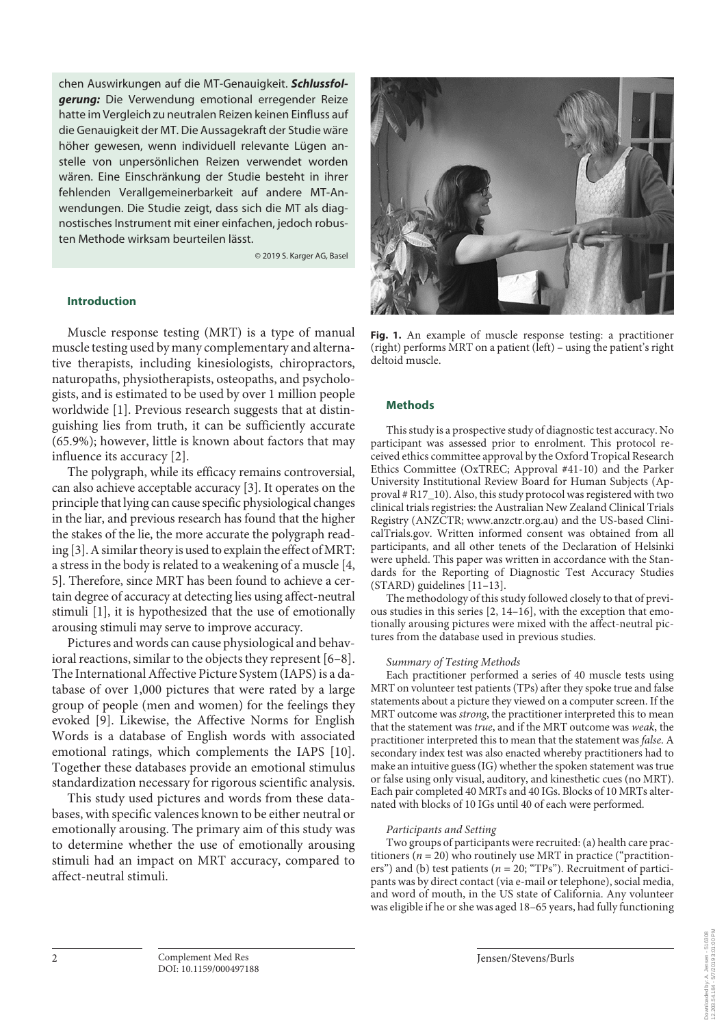chen Auswirkungen auf die MT-Genauigkeit. *Schlussfolgerung:* Die Verwendung emotional erregender Reize hatte im Vergleich zu neutralen Reizen keinen Einfluss auf die Genauigkeit der MT. Die Aussagekraft der Studie wäre höher gewesen, wenn individuell relevante Lügen anstelle von unpersönlichen Reizen verwendet worden wären. Eine Einschränkung der Studie besteht in ihrer fehlenden Verallgemeinerbarkeit auf andere MT-Anwendungen. Die Studie zeigt, dass sich die MT als diagnostisches Instrument mit einer einfachen, jedoch robusten Methode wirksam beurteilen lässt.

© 2019 S. Karger AG, Basel

## **Introduction**

Muscle response testing (MRT) is a type of manual muscle testing used by many complementary and alternative therapists, including kinesiologists, chiropractors, naturopaths, physiotherapists, osteopaths, and psychologists, and is estimated to be used by over 1 million people worldwide [1]. Previous research suggests that at distinguishing lies from truth, it can be sufficiently accurate (65.9%); however, little is known about factors that may influence its accuracy [2].

The polygraph, while its efficacy remains controversial, can also achieve acceptable accuracy [3]. It operates on the principle that lying can cause specific physiological changes in the liar, and previous research has found that the higher the stakes of the lie, the more accurate the polygraph reading [3]. A similar theory is used to explain the effect of MRT: a stress in the body is related to a weakening of a muscle [4, 5]. Therefore, since MRT has been found to achieve a certain degree of accuracy at detecting lies using affect-neutral stimuli [1], it is hypothesized that the use of emotionally arousing stimuli may serve to improve accuracy.

Pictures and words can cause physiological and behavioral reactions, similar to the objects they represent [6–8]. The International Affective Picture System (IAPS) is a database of over 1,000 pictures that were rated by a large group of people (men and women) for the feelings they evoked [9]. Likewise, the Affective Norms for English Words is a database of English words with associated emotional ratings, which complements the IAPS [10]. Together these databases provide an emotional stimulus standardization necessary for rigorous scientific analysis.

This study used pictures and words from these databases, with specific valences known to be either neutral or emotionally arousing. The primary aim of this study was to determine whether the use of emotionally arousing stimuli had an impact on MRT accuracy, compared to affect-neutral stimuli.



**Fig. 1.** An example of muscle response testing: a practitioner (right) performs MRT on a patient (left) – using the patient's right deltoid muscle.

#### **Methods**

This study is a prospective study of diagnostic test accuracy. No participant was assessed prior to enrolment. This protocol received ethics committee approval by the Oxford Tropical Research Ethics Committee (OxTREC; Approval #41-10) and the Parker University Institutional Review Board for Human Subjects (Approval # R17\_10). Also, this study protocol was registered with two clinical trials registries: the Australian New Zealand Clinical Trials Registry (ANZCTR; www.anzctr.org.au) and the US-based ClinicalTrials.gov. Written informed consent was obtained from all participants, and all other tenets of the Declaration of Helsinki were upheld. This paper was written in accordance with the Standards for the Reporting of Diagnostic Test Accuracy Studies (STARD) guidelines [11–13].

The methodology of this study followed closely to that of previous studies in this series [2, 14–16], with the exception that emotionally arousing pictures were mixed with the affect-neutral pictures from the database used in previous studies.

#### *Summary of Testing Methods*

Each practitioner performed a series of 40 muscle tests using MRT on volunteer test patients (TPs) after they spoke true and false statements about a picture they viewed on a computer screen. If the MRT outcome was *strong*, the practitioner interpreted this to mean that the statement was *true*, and if the MRT outcome was *weak*, the practitioner interpreted this to mean that the statement was *false*. A secondary index test was also enacted whereby practitioners had to make an intuitive guess (IG) whether the spoken statement was true or false using only visual, auditory, and kinesthetic cues (no MRT). Each pair completed 40 MRTs and 40 IGs. Blocks of 10 MRTs alternated with blocks of 10 IGs until 40 of each were performed.

#### *Participants and Setting*

Two groups of participants were recruited: (a) health care practitioners ( $n = 20$ ) who routinely use MRT in practice ("practitioners") and (b) test patients (*n* = 20; "TPs"). Recruitment of participants was by direct contact (via e-mail or telephone), social media, and word of mouth, in the US state of California. Any volunteer was eligible if he or she was aged 18–65 years, had fully functioning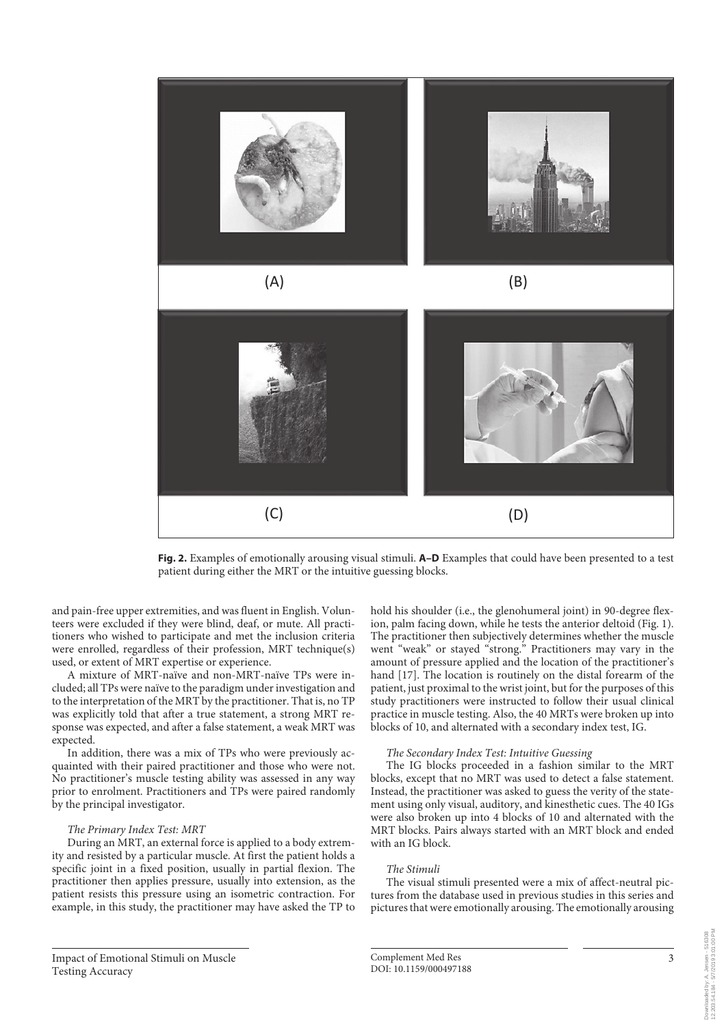

**Fig. 2.** Examples of emotionally arousing visual stimuli. **A–D** Examples that could have been presented to a test patient during either the MRT or the intuitive guessing blocks.

and pain-free upper extremities, and was fluent in English. Volunteers were excluded if they were blind, deaf, or mute. All practitioners who wished to participate and met the inclusion criteria were enrolled, regardless of their profession, MRT technique(s) used, or extent of MRT expertise or experience.

A mixture of MRT-naïve and non-MRT-naïve TPs were included; all TPs were naïve to the paradigm under investigation and to the interpretation of the MRT by the practitioner. That is, no TP was explicitly told that after a true statement, a strong MRT response was expected, and after a false statement, a weak MRT was expected.

In addition, there was a mix of TPs who were previously acquainted with their paired practitioner and those who were not. No practitioner's muscle testing ability was assessed in any way prior to enrolment. Practitioners and TPs were paired randomly by the principal investigator.

#### *The Primary Index Test: MRT*

During an MRT, an external force is applied to a body extremity and resisted by a particular muscle. At first the patient holds a specific joint in a fixed position, usually in partial flexion. The practitioner then applies pressure, usually into extension, as the patient resists this pressure using an isometric contraction. For example, in this study, the practitioner may have asked the TP to hold his shoulder (i.e., the glenohumeral joint) in 90-degree flexion, palm facing down, while he tests the anterior deltoid (Fig. 1). The practitioner then subjectively determines whether the muscle went "weak" or stayed "strong." Practitioners may vary in the amount of pressure applied and the location of the practitioner's hand [17]. The location is routinely on the distal forearm of the patient, just proximal to the wrist joint, but for the purposes of this study practitioners were instructed to follow their usual clinical practice in muscle testing. Also, the 40 MRTs were broken up into blocks of 10, and alternated with a secondary index test, IG.

#### *The Secondary Index Test: Intuitive Guessing*

The IG blocks proceeded in a fashion similar to the MRT blocks, except that no MRT was used to detect a false statement. Instead, the practitioner was asked to guess the verity of the statement using only visual, auditory, and kinesthetic cues. The 40 IGs were also broken up into 4 blocks of 10 and alternated with the MRT blocks. Pairs always started with an MRT block and ended with an IG block.

#### *The Stimuli*

The visual stimuli presented were a mix of affect-neutral pictures from the database used in previous studies in this series and pictures that were emotionally arousing. The emotionally arousing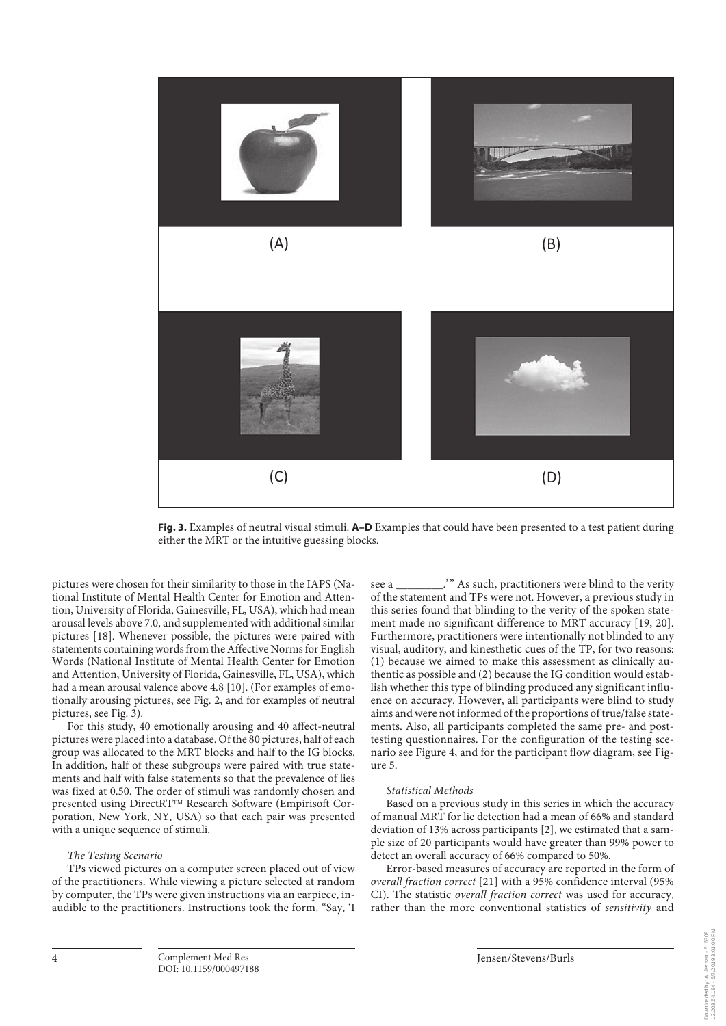

**Fig. 3.** Examples of neutral visual stimuli. **A–D** Examples that could have been presented to a test patient during either the MRT or the intuitive guessing blocks.

pictures were chosen for their similarity to those in the IAPS (National Institute of Mental Health Center for Emotion and Attention, University of Florida, Gainesville, FL, USA), which had mean arousal levels above 7.0, and supplemented with additional similar pictures [18]. Whenever possible, the pictures were paired with statements containing words from the Affective Norms for English Words (National Institute of Mental Health Center for Emotion and Attention, University of Florida, Gainesville, FL, USA), which had a mean arousal valence above 4.8 [10]. (For examples of emotionally arousing pictures, see Fig. 2, and for examples of neutral pictures, see Fig. 3).

For this study, 40 emotionally arousing and 40 affect-neutral pictures were placed into a database. Of the 80 pictures, half of each group was allocated to the MRT blocks and half to the IG blocks. In addition, half of these subgroups were paired with true statements and half with false statements so that the prevalence of lies was fixed at 0.50. The order of stimuli was randomly chosen and presented using DirectRTTM Research Software (Empirisoft Corporation, New York, NY, USA) so that each pair was presented with a unique sequence of stimuli.

#### *The Testing Scenario*

TPs viewed pictures on a computer screen placed out of view of the practitioners. While viewing a picture selected at random by computer, the TPs were given instructions via an earpiece, inaudible to the practitioners. Instructions took the form, "Say, 'I see a \_\_\_\_\_\_\_\_.'" As such, practitioners were blind to the verity of the statement and TPs were not. However, a previous study in this series found that blinding to the verity of the spoken statement made no significant difference to MRT accuracy [19, 20]. Furthermore, practitioners were intentionally not blinded to any visual, auditory, and kinesthetic cues of the TP, for two reasons: (1) because we aimed to make this assessment as clinically authentic as possible and (2) because the IG condition would establish whether this type of blinding produced any significant influence on accuracy. However, all participants were blind to study aims and were not informed of the proportions of true/false statements. Also, all participants completed the same pre- and posttesting questionnaires. For the configuration of the testing scenario see Figure 4, and for the participant flow diagram, see Figure 5.

#### *Statistical Methods*

Based on a previous study in this series in which the accuracy of manual MRT for lie detection had a mean of 66% and standard deviation of 13% across participants [2], we estimated that a sample size of 20 participants would have greater than 99% power to detect an overall accuracy of 66% compared to 50%.

Error-based measures of accuracy are reported in the form of *overall fraction correct* [21] with a 95% confidence interval (95% CI). The statistic *overall fraction correct* was used for accuracy, rather than the more conventional statistics of *sensitivity* and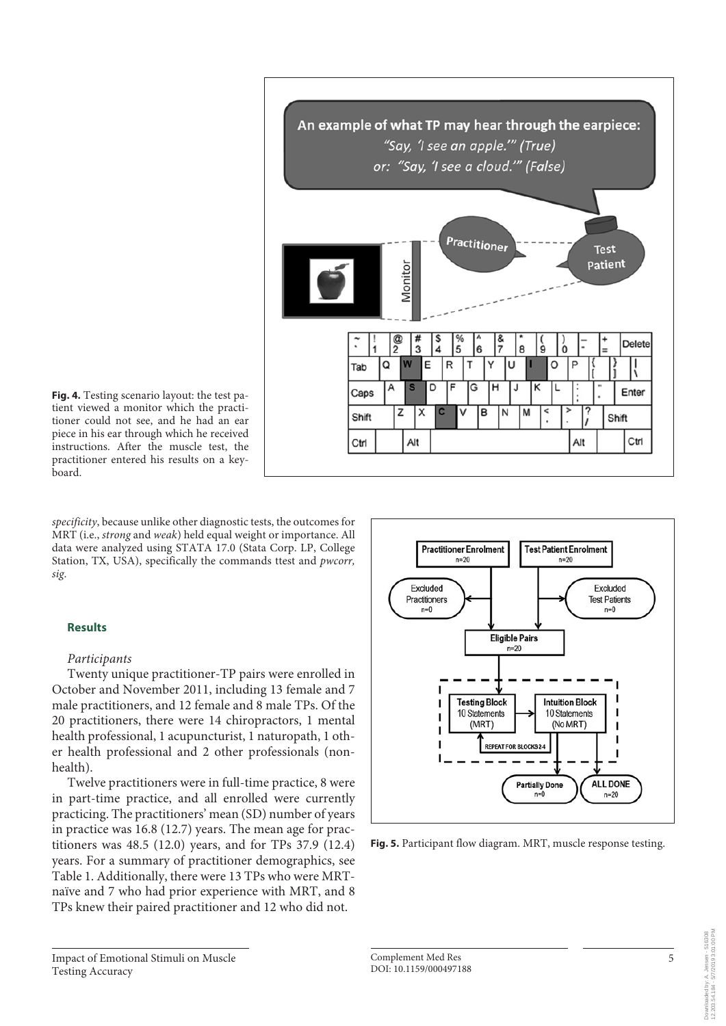

**Fig. 4.** Testing scenario layout: the test patient viewed a monitor which the practitioner could not see, and he had an ear piece in his ear through which he received instructions. After the muscle test, the practitioner entered his results on a keyboard.

*specificity*, because unlike other diagnostic tests, the outcomes for MRT (i.e., *strong* and *weak*) held equal weight or importance. All data were analyzed using STATA 17.0 (Stata Corp. LP, College Station, TX, USA), specifically the commands ttest and *pwcorr, sig*.

# **Results**

## *Participants*

Twenty unique practitioner-TP pairs were enrolled in October and November 2011, including 13 female and 7 male practitioners, and 12 female and 8 male TPs. Of the 20 practitioners, there were 14 chiropractors, 1 mental health professional, 1 acupuncturist, 1 naturopath, 1 other health professional and 2 other professionals (nonhealth).

Twelve practitioners were in full-time practice, 8 were in part-time practice, and all enrolled were currently practicing. The practitioners' mean (SD) number of years in practice was 16.8 (12.7) years. The mean age for practitioners was 48.5 (12.0) years, and for TPs 37.9 (12.4) years. For a summary of practitioner demographics, see Table 1. Additionally, there were 13 TPs who were MRTnaïve and 7 who had prior experience with MRT, and 8 TPs knew their paired practitioner and 12 who did not.



**Fig. 5.** Participant flow diagram. MRT, muscle response testing.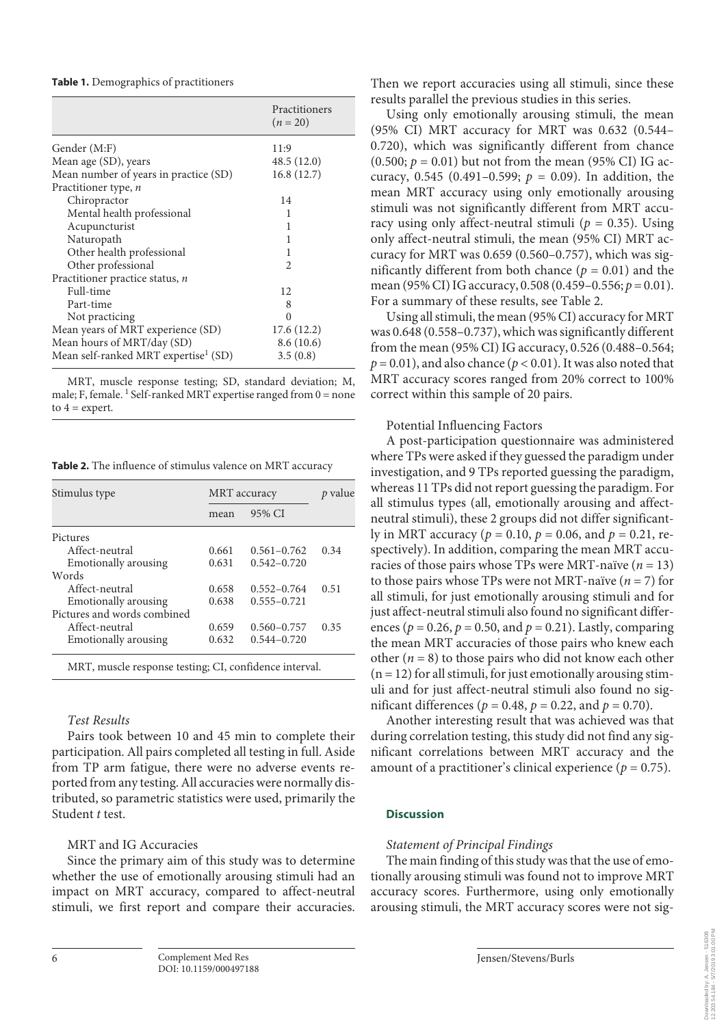**Table 1.** Demographics of practitioners

|                                                  | Practitioners<br>$(n = 20)$ |
|--------------------------------------------------|-----------------------------|
| Gender (M:F)                                     | 11:9                        |
| Mean age (SD), years                             | 48.5 (12.0)                 |
| Mean number of years in practice (SD)            | 16.8(12.7)                  |
| Practitioner type, n                             |                             |
| Chiropractor                                     | 14                          |
| Mental health professional                       | 1                           |
| Acupuncturist                                    | 1                           |
| Naturopath                                       | 1                           |
| Other health professional                        | 1                           |
| Other professional                               | $\mathcal{D}_{\mathcal{A}}$ |
| Practitioner practice status, $n$                |                             |
| Full-time                                        | 12                          |
| Part-time                                        | 8                           |
| Not practicing                                   | ∩                           |
| Mean years of MRT experience (SD)                | 17.6 (12.2)                 |
| Mean hours of MRT/day (SD)                       | 8.6(10.6)                   |
| Mean self-ranked MRT expertise <sup>1</sup> (SD) | 3.5(0.8)                    |

MRT, muscle response testing; SD, standard deviation; M, male; F, female.  $^1$  Self-ranked MRT expertise ranged from  $0 =$  none to  $4 =$  expert.

**Table 2.** The influence of stimulus valence on MRT accuracy

| Stimulus type                                          | MRT accuracy |                 | value |
|--------------------------------------------------------|--------------|-----------------|-------|
|                                                        | mean         | 95% CI          |       |
| Pictures                                               |              |                 |       |
| Affect-neutral                                         | 0.661        | $0.561 - 0.762$ | 0.34  |
| Emotionally arousing                                   | 0.631        | $0.542 - 0.720$ |       |
| Words                                                  |              |                 |       |
| Affect-neutral                                         | 0.658        | $0.552 - 0.764$ | 0.51  |
| <b>Emotionally arousing</b>                            | 0.638        | $0.555 - 0.721$ |       |
| Pictures and words combined                            |              |                 |       |
| Affect-neutral                                         | 0.659        | $0.560 - 0.757$ | 0.35  |
| Emotionally arousing                                   | 0.632        | $0.544 - 0.720$ |       |
| MRT, muscle response testing; CI, confidence interval. |              |                 |       |

# *Test Results*

Pairs took between 10 and 45 min to complete their participation. All pairs completed all testing in full. Aside from TP arm fatigue, there were no adverse events reported from any testing. All accuracies were normally distributed, so parametric statistics were used, primarily the Student *t* test.

# MRT and IG Accuracies

Since the primary aim of this study was to determine whether the use of emotionally arousing stimuli had an impact on MRT accuracy, compared to affect-neutral stimuli, we first report and compare their accuracies. Then we report accuracies using all stimuli, since these results parallel the previous studies in this series.

Using only emotionally arousing stimuli, the mean (95% CI) MRT accuracy for MRT was 0.632 (0.544– 0.720), which was significantly different from chance  $(0.500; p = 0.01)$  but not from the mean (95% CI) IG accuracy, 0.545 (0.491–0.599;  $p = 0.09$ ). In addition, the mean MRT accuracy using only emotionally arousing stimuli was not significantly different from MRT accuracy using only affect-neutral stimuli ( $p = 0.35$ ). Using only affect-neutral stimuli, the mean (95% CI) MRT accuracy for MRT was 0.659 (0.560–0.757), which was significantly different from both chance ( $p = 0.01$ ) and the mean (95% CI) IG accuracy, 0.508 (0.459–0.556; *p* = 0.01). For a summary of these results, see Table 2.

Using all stimuli, the mean (95% CI) accuracy for MRT was 0.648 (0.558–0.737), which was significantly different from the mean (95% CI) IG accuracy, 0.526 (0.488–0.564;  $p = 0.01$ ), and also chance ( $p < 0.01$ ). It was also noted that MRT accuracy scores ranged from 20% correct to 100% correct within this sample of 20 pairs.

# Potential Influencing Factors

A post-participation questionnaire was administered where TPs were asked if they guessed the paradigm under investigation, and 9 TPs reported guessing the paradigm, whereas 11 TPs did not report guessing the paradigm. For all stimulus types (all, emotionally arousing and affectneutral stimuli), these 2 groups did not differ significantly in MRT accuracy (*p* = 0.10, *p* = 0.06, and *p* = 0.21, respectively). In addition, comparing the mean MRT accuracies of those pairs whose TPs were MRT-naïve (*n* = 13) to those pairs whose TPs were not MRT-naïve (*n* = 7) for all stimuli, for just emotionally arousing stimuli and for just affect-neutral stimuli also found no significant differences ( $p = 0.26$ ,  $p = 0.50$ , and  $p = 0.21$ ). Lastly, comparing the mean MRT accuracies of those pairs who knew each other  $(n = 8)$  to those pairs who did not know each other  $(n = 12)$  for all stimuli, for just emotionally arousing stimuli and for just affect-neutral stimuli also found no significant differences ( $p = 0.48$ ,  $p = 0.22$ , and  $p = 0.70$ ).

Another interesting result that was achieved was that during correlation testing, this study did not find any significant correlations between MRT accuracy and the amount of a practitioner's clinical experience ( $p = 0.75$ ).

# **Discussion**

# *Statement of Principal Findings*

The main finding of this study was that the use of emotionally arousing stimuli was found not to improve MRT accuracy scores. Furthermore, using only emotionally arousing stimuli, the MRT accuracy scores were not sig-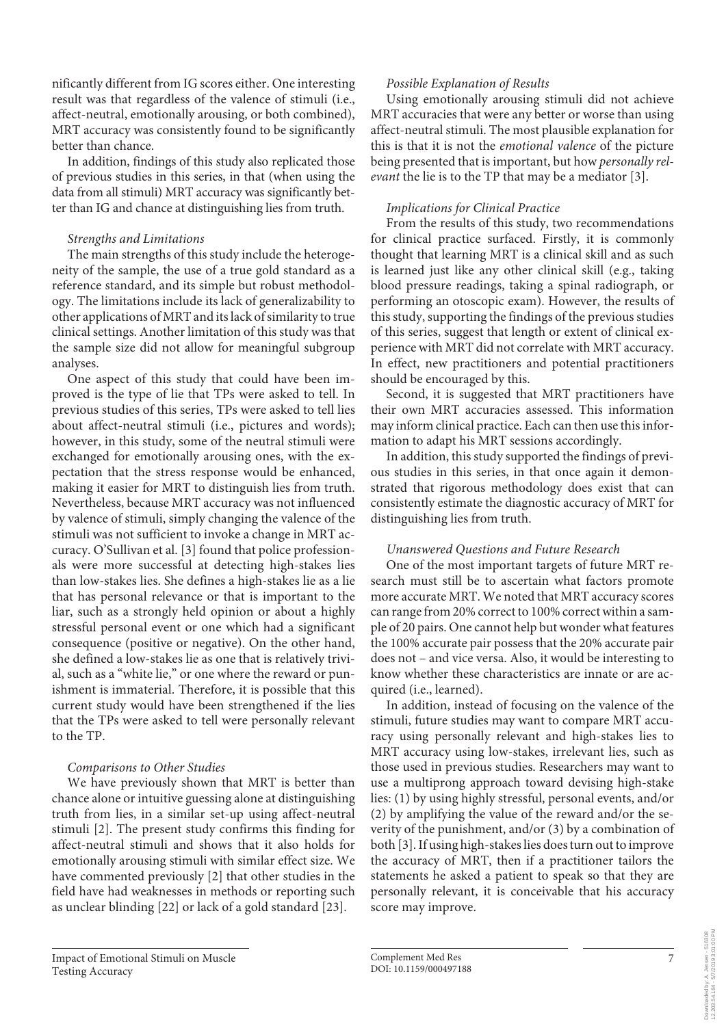nificantly different from IG scores either. One interesting result was that regardless of the valence of stimuli (i.e., affect-neutral, emotionally arousing, or both combined), MRT accuracy was consistently found to be significantly better than chance.

In addition, findings of this study also replicated those of previous studies in this series, in that (when using the data from all stimuli) MRT accuracy was significantly better than IG and chance at distinguishing lies from truth.

# *Strengths and Limitations*

The main strengths of this study include the heterogeneity of the sample, the use of a true gold standard as a reference standard, and its simple but robust methodology. The limitations include its lack of generalizability to other applications of MRT and its lack of similarity to true clinical settings. Another limitation of this study was that the sample size did not allow for meaningful subgroup analyses.

One aspect of this study that could have been improved is the type of lie that TPs were asked to tell. In previous studies of this series, TPs were asked to tell lies about affect-neutral stimuli (i.e., pictures and words); however, in this study, some of the neutral stimuli were exchanged for emotionally arousing ones, with the expectation that the stress response would be enhanced, making it easier for MRT to distinguish lies from truth. Nevertheless, because MRT accuracy was not influenced by valence of stimuli, simply changing the valence of the stimuli was not sufficient to invoke a change in MRT accuracy. O'Sullivan et al. [3] found that police professionals were more successful at detecting high-stakes lies than low-stakes lies. She defines a high-stakes lie as a lie that has personal relevance or that is important to the liar, such as a strongly held opinion or about a highly stressful personal event or one which had a significant consequence (positive or negative). On the other hand, she defined a low-stakes lie as one that is relatively trivial, such as a "white lie," or one where the reward or punishment is immaterial. Therefore, it is possible that this current study would have been strengthened if the lies that the TPs were asked to tell were personally relevant to the TP.

# *Comparisons to Other Studies*

We have previously shown that MRT is better than chance alone or intuitive guessing alone at distinguishing truth from lies, in a similar set-up using affect-neutral stimuli [2]. The present study confirms this finding for affect-neutral stimuli and shows that it also holds for emotionally arousing stimuli with similar effect size. We have commented previously [2] that other studies in the field have had weaknesses in methods or reporting such as unclear blinding [22] or lack of a gold standard [23].

*Possible Explanation of Results* Using emotionally arousing stimuli did not achieve

MRT accuracies that were any better or worse than using affect-neutral stimuli. The most plausible explanation for this is that it is not the *emotional valence* of the picture being presented that is important, but how *personally relevant* the lie is to the TP that may be a mediator [3].

# *Implications for Clinical Practice*

From the results of this study, two recommendations for clinical practice surfaced. Firstly, it is commonly thought that learning MRT is a clinical skill and as such is learned just like any other clinical skill (e.g., taking blood pressure readings, taking a spinal radiograph, or performing an otoscopic exam). However, the results of this study, supporting the findings of the previous studies of this series, suggest that length or extent of clinical experience with MRT did not correlate with MRT accuracy. In effect, new practitioners and potential practitioners should be encouraged by this.

Second, it is suggested that MRT practitioners have their own MRT accuracies assessed. This information may inform clinical practice. Each can then use this information to adapt his MRT sessions accordingly.

In addition, this study supported the findings of previous studies in this series, in that once again it demonstrated that rigorous methodology does exist that can consistently estimate the diagnostic accuracy of MRT for distinguishing lies from truth.

# *Unanswered Questions and Future Research*

One of the most important targets of future MRT research must still be to ascertain what factors promote more accurate MRT. We noted that MRT accuracy scores can range from 20% correct to 100% correct within a sample of 20 pairs. One cannot help but wonder what features the 100% accurate pair possess that the 20% accurate pair does not – and vice versa. Also, it would be interesting to know whether these characteristics are innate or are acquired (i.e., learned).

In addition, instead of focusing on the valence of the stimuli, future studies may want to compare MRT accuracy using personally relevant and high-stakes lies to MRT accuracy using low-stakes, irrelevant lies, such as those used in previous studies. Researchers may want to use a multiprong approach toward devising high-stake lies: (1) by using highly stressful, personal events, and/or (2) by amplifying the value of the reward and/or the severity of the punishment, and/or (3) by a combination of both [3]. If using high-stakes lies does turn out to improve the accuracy of MRT, then if a practitioner tailors the statements he asked a patient to speak so that they are personally relevant, it is conceivable that his accuracy score may improve.

12.203.54.184 - 5/7/2019 3:01:00 PMDownloaded by: A. Jensen - 516308<br>12.203.54.184 - 5/7/2019 3:01:00 PM Downloaded by: A. Jensen - 516308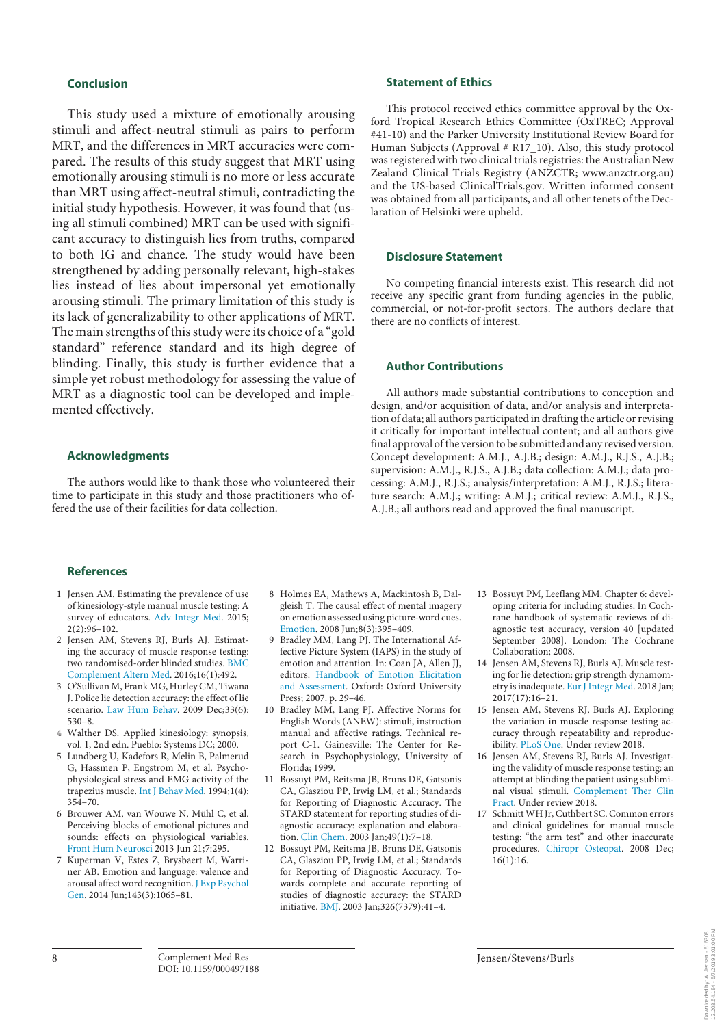## **Conclusion**

This study used a mixture of emotionally arousing stimuli and affect-neutral stimuli as pairs to perform MRT, and the differences in MRT accuracies were compared. The results of this study suggest that MRT using emotionally arousing stimuli is no more or less accurate than MRT using affect-neutral stimuli, contradicting the initial study hypothesis. However, it was found that (using all stimuli combined) MRT can be used with significant accuracy to distinguish lies from truths, compared to both IG and chance. The study would have been strengthened by adding personally relevant, high-stakes lies instead of lies about impersonal yet emotionally arousing stimuli. The primary limitation of this study is its lack of generalizability to other applications of MRT. The main strengths of this study were its choice of a "gold standard" reference standard and its high degree of blinding. Finally, this study is further evidence that a simple yet robust methodology for assessing the value of MRT as a diagnostic tool can be developed and implemented effectively.

## **Acknowledgments**

The authors would like to thank those who volunteered their time to participate in this study and those practitioners who offered the use of their facilities for data collection.

#### **Statement of Ethics**

This protocol received ethics committee approval by the Oxford Tropical Research Ethics Committee (OxTREC; Approval #41-10) and the Parker University Institutional Review Board for Human Subjects (Approval # R17\_10). Also, this study protocol was registered with two clinical trials registries: the Australian New Zealand Clinical Trials Registry (ANZCTR; www.anzctr.org.au) and the US-based ClinicalTrials.gov. Written informed consent was obtained from all participants, and all other tenets of the Declaration of Helsinki were upheld.

#### **Disclosure Statement**

No competing financial interests exist. This research did not receive any specific grant from funding agencies in the public, commercial, or not-for-profit sectors. The authors declare that there are no conflicts of interest.

## **Author Contributions**

All authors made substantial contributions to conception and design, and/or acquisition of data, and/or analysis and interpretation of data; all authors participated in drafting the article or revising it critically for important intellectual content; and all authors give final approval of the version to be submitted and any revised version. Concept development: A.M.J., A.J.B.; design: A.M.J., R.J.S., A.J.B.; supervision: A.M.J., R.J.S., A.J.B.; data collection: A.M.J.; data processing: A.M.J., R.J.S.; analysis/interpretation: A.M.J., R.J.S.; literature search: A.M.J.; writing: A.M.J.; critical review: A.M.J., R.J.S., A.J.B.; all authors read and approved the final manuscript.

#### **References**

- 1 Jensen AM. Estimating the prevalence of use of kinesiology-style manual muscle testing: A survey of educators. Adv Integr Med. 2015; 2(2):96–102.
- 2 Jensen AM, Stevens RJ, Burls AJ. Estimating the accuracy of muscle response testing: two randomised-order blinded studies. BMC Complement Altern Med. 2016;16(1):492.
- 3 O'Sullivan M, Frank MG, Hurley CM, Tiwana J. Police lie detection accuracy: the effect of lie scenario. Law Hum Behav. 2009 Dec;33(6): 530–8.
- 4 Walther DS. Applied kinesiology: synopsis, vol. 1, 2nd edn. Pueblo: Systems DC; 2000.
- 5 Lundberg U, Kadefors R, Melin B, Palmerud G, Hassmen P, Engstrom M, et al. Psychophysiological stress and EMG activity of the trapezius muscle. Int J Behav Med. 1994;1(4): 354–70.
- 6 Brouwer AM, van Wouwe N, Mühl C, et al. Perceiving blocks of emotional pictures and sounds: effects on physiological variables. Front Hum Neurosci 2013 Jun 21;7:295.
- 7 Kuperman V, Estes Z, Brysbaert M, Warriner AB. Emotion and language: valence and arousal affect word recognition. J Exp Psychol Gen. 2014 Jun;143(3):1065–81.
- 8 Holmes EA, Mathews A, Mackintosh B, Dalgleish T. The causal effect of mental imagery on emotion assessed using picture-word cues. Emotion. 2008 Jun;8(3):395–409.
- 9 Bradley MM, Lang PJ. The International Affective Picture System (IAPS) in the study of emotion and attention. In: Coan JA, Allen JJ, editors. Handbook of Emotion Elicitation and Assessment. Oxford: Oxford University Press; 2007. p. 29–46.
- 10 Bradley MM, Lang PJ. Affective Norms for English Words (ANEW): stimuli, instruction manual and affective ratings. Technical report C-1. Gainesville: The Center for Research in Psychophysiology, University of Florida; 1999.
- 11 Bossuyt PM, Reitsma JB, Bruns DE, Gatsonis CA, Glasziou PP, Irwig LM, et al.; Standards for Reporting of Diagnostic Accuracy. The STARD statement for reporting studies of diagnostic accuracy: explanation and elaboration. Clin Chem. 2003 Jan;49(1):7–18.
- 12 Bossuyt PM, Reitsma JB, Bruns DE, Gatsonis CA, Glasziou PP, Irwig LM, et al.; Standards for Reporting of Diagnostic Accuracy. Towards complete and accurate reporting of studies of diagnostic accuracy: the STARD initiative. BMJ. 2003 Jan;326(7379):41–4.
- 13 Bossuyt PM, Leeflang MM. Chapter 6: developing criteria for including studies. In Cochrane handbook of systematic reviews of diagnostic test accuracy, version 40 [updated September 2008]. London: The Cochrane Collaboration; 2008.
- 14 Jensen AM, Stevens RJ, Burls AJ. Muscle testing for lie detection: grip strength dynamometry is inadequate. Eur J Integr Med. 2018 Jan;  $2017(17):16-21.$
- 15 Jensen AM, Stevens RJ, Burls AJ. Exploring the variation in muscle response testing accuracy through repeatability and reproducibility. PLoS One. Under review 2018.
- 16 Jensen AM, Stevens RJ, Burls AJ. Investigating the validity of muscle response testing: an attempt at blinding the patient using subliminal visual stimuli. Complement Ther Clin Pract. Under review 2018.
- Schmitt WH Jr, Cuthbert SC. Common errors and clinical guidelines for manual muscle testing: "the arm test" and other inaccurate procedures. Chiropr Osteopat. 2008 Dec;  $16(1):16.$